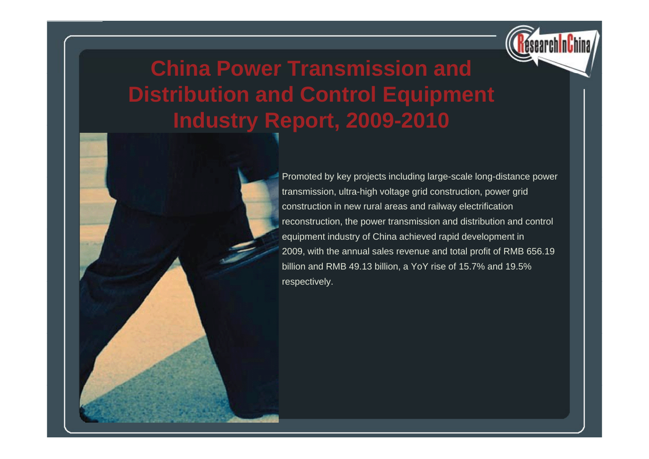

# **China Power Transmission and Distribution and Control Equipment Industry Report, 2009 -2010 2010**

Promoted by key projects including large-scale long-distance power transmission, ultra-high voltage grid construction, power grid construction in new rural areas and railway electrification reconstruction, the power transmission and distribution and control equipment industry of China achieved rapid development in 2009, with the annual sales revenue and total profit of RMB 656.19 billion and RMB 49.13 billion, a YoY rise of 15.7% and 19.5% respectively.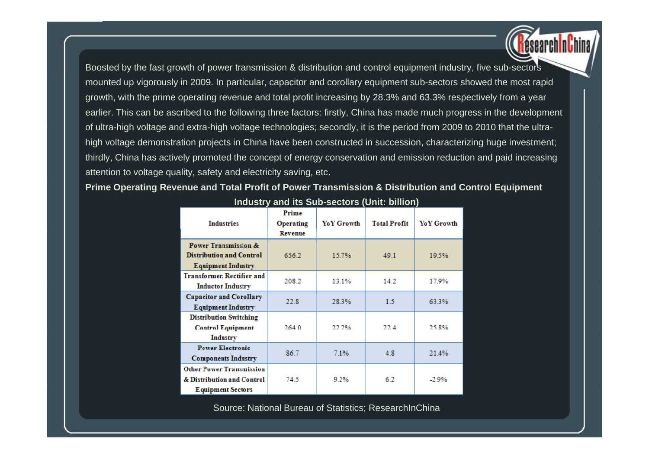Boosted by the fast growth of power transmission & distribution and control equipment industry, five sub-sectors mounted up vigorously in 2009. In particular, capacitor and corollary equipment sub-sectors showed the most rapid growth, with the prime operating revenue and total profit increasing by 28.3% and 63.3% respectively from a year earlier. This can be ascribed to the following three factors: firstly, China has made much progress in the development of ultra-high voltage and extra-high voltage technologies; secondly, it is the period from 2009 to 2010 that the ultrahigh voltage demonstration projects in China have been constructed in succession, characterizing huge investment; thirdly, China has actively promoted the concept of energy conservation and emission reduction and paid increasing attention to voltage quality, safety and electricity saving, etc.

### **Prime Operating Revenue and Total Profit of Power Transmission & Distribution and Control Equipment**

| <b>Industries</b>                                                                         | Prime<br>Operating<br>Revenue | Yo Y Growth | <b>Total Profit</b> | Yo Y Growth |
|-------------------------------------------------------------------------------------------|-------------------------------|-------------|---------------------|-------------|
| Power Transmission &<br><b>Distribution and Control</b><br><b>Equipment Industry</b>      | 656.2                         | 15.7%       | 49.1                | 19.5%       |
| <b>Transformer, Rectifier and</b><br><b>Inductor Industry</b>                             | 208.2                         | 13.1%       | 14.2                | 17.9%       |
| <b>Capacitor and Corollary</b><br><b>Equipment Industry</b>                               | 22.8                          | 28.3%       | 15                  | 63.3%       |
| <b>Distribution Switching</b><br><b>Control Equipment</b><br>Industry                     | 264.0                         | 22.2%       | 22 A                | 25.8%       |
| <b>Power Electronic</b><br><b>Components Industry</b>                                     | 86.7                          | 7.1%        | 4.8                 | 21.4%       |
| <b>Other Power Transmission</b><br>& Distribution and Control<br><b>Equipment Sectors</b> | 74.5                          | 9.2%        | 6.2                 | $-2.9%$     |

#### **Industry and its Sub-sectors (Unit: billion)**

Source: National Bureau of Statistics; ResearchInChina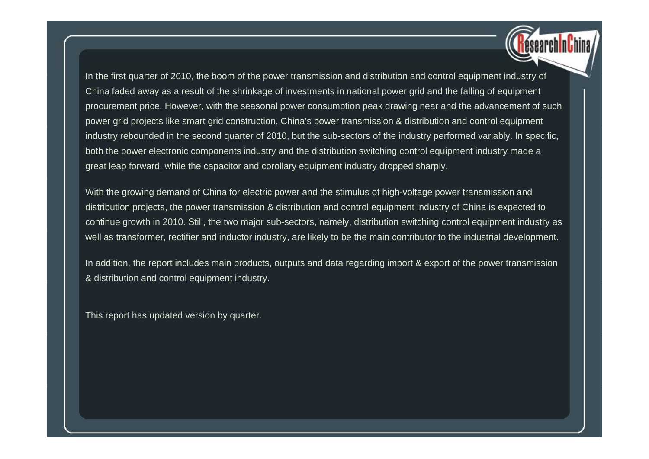In the first quarter of 2010, the boom of the power transmission and distribution and control equipment industry of China faded away as a result of the shrinkage of investments in national power grid and the falling of equipment procurement price. However, with the seasonal power consumption peak drawing near and the advancement of such power grid projects like smart grid construction, China's power transmission & distribution and control equipment industry rebounded in the second quarter of 2010, but the sub-sectors of the industry performed variably. In specific, both the power electronic components industry and the distribution switching control equipment industry made a great leap forward; while the capacitor and corollary equipment industry dropped sharply.

With the growing demand of China for electric power and the stimulus of high-voltage power transmission and distribution projects, the power transmission & distribution and control equipment industry of China is expected to continue growth in 2010. Still, the two major sub-sectors, namely, distribution switching control equipment industry as well as transformer, rectifier and inductor industry, are likely to be the main contributor to the industrial development.

In addition, the report includes main products, outputs and data regarding import & export of the power transmission & distribution and control equipment industry.

This report has updated version by quarter.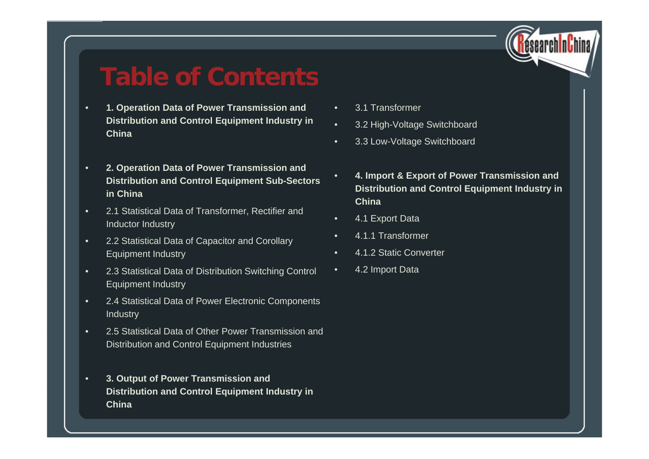

### **Table of Contents**

- • **1. Operation Data of Power Transmission and Distribution and Control E qui pment Industr y in China**
- • **2. Operation Data of Power Transmission and <sup>4</sup> Import & Export of Power Transmission and Distribution and Control Equipment Sub-Sectors in China**
- • 2.1 Statistical Data of Transformer, Rectifier and Inductor Industry
- • 2.2 Statistical Data of Capacitor and Corollary Equipment Industry
- • 2.3 Statistical Data of Distribution Switching Control Equipment Industry
- • 2.4 Statistical Data of Power Electronic Components **Industry**
- •• 2.5 Statistical Data of Other Power Transmission and Distribution and Control Equipment Industries
- • **3. Output of Power Transmission and Distribution and Control Equipment Industry in China**
- •3.1 Transformer
- • <sup>3</sup> <sup>2</sup> High-Voltage Switchboard **qp <sup>y</sup>** 3.2
	- •3.3 Low-Voltage Switchboard
	- •**4. Distribution and Control Equipment Industry in China**
	- •4.1 Export Data
	- •4.1.1 Transformer
	- •4.1.2 Static Converter
	- •4.2 Import Data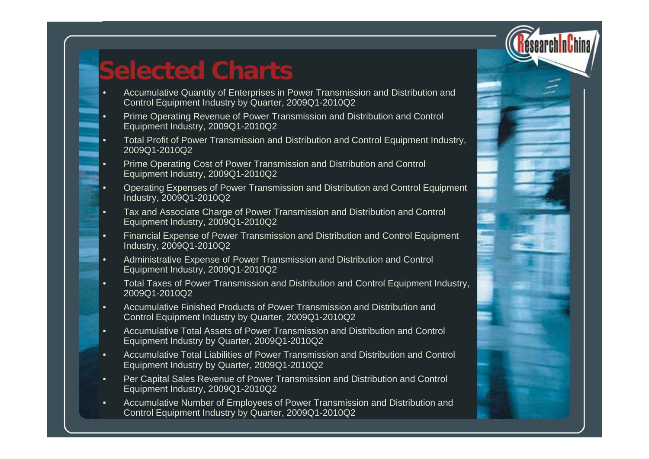

# **Selected Charts**

•

- Accumulative Quantity of Enterprises in Power Transmission and Distribution and Control Equipment Industry by Quarter, 2009Q1-2010Q2
- • Prime Operating Revenue of Power Transmission and Distribution and Control Equipment Industry, 2009Q1-2010Q2
- • Total Profit of Power Transmission and Distribution and Control Equipment Industry, 2009Q1-2010Q2
- • Prime Operating Cost of Power Transmission and Distribution and Control Equipment Industry, 2009Q1-2010Q2
- • Operating Expenses of Power Transmission and Distribution and Control Equipment Industry, 2009Q1-2010Q2
- • Tax and Associate Charge of Power Transmission and Distribution and Control Equipment Industry, 2009Q1-2010Q2
- • Financial Expense of Power Transmission and Distribution and Control Equipment Industry, 2009Q1-2010Q2
- • Administrative Expense of Power Transmission and Distribution and Control Equipment Industry, 2009Q1-2010Q2
- •• Total Taxes of Power Transmission and Distribution and Control Equipment Industry, 2009Q1-2010Q2
- • Accumulative Finished Products of Power Transmission and Distribution and Control Equipment Industry by Quarter, 2009Q1-2010Q2
- • Accumulative Total Assets of Power Transmission and Distribution and Control Equipment Industry by Quarter, 2009Q1-2010Q2
- • Accumulative Total Liabilities of Power Transmission and Distribution and Control Equipment Industry by Quarter, 2009Q1-2010Q2
- • Per Capital Sales Revenue of Power Transmission and Distribution and Control Equipment Industry, 2009 Q1-2010 Q 2
- • Accumulative Number of Employees of Power Transmission and Distribution and Control Equipment Industry by Quarter, 2009Q1-2010Q2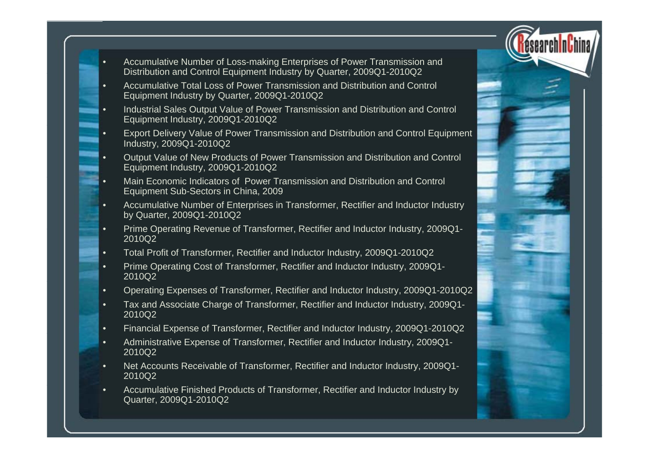

- • Accumulative Number of Loss-making Enterprises of Power Transmission and Distribution and Control Equipment Industry by Quarter, 2009Q1-2010Q2
- • Accumulative Total Loss of Power Transmission and Distribution and Control Equipment Industry by Quarter, 2009Q1-2010Q2
- • Industrial Sales Output Value of Power Transmission and Distribution and Control Equipment Industry, 2009Q1-2010Q2
- • Export Delivery Value of Power Transmission and Distribution and Control Equipment Industry, 2009Q1-2010Q2
- • Output Value of New Products of Power Transmission and Distribution and Control Equipment Industry, 2009Q1-2010Q2
- • Main Economic Indicators of Power Transmission and Distribution and Control Equipment Sub-Sectors in China, 2009
- • Accumulative Number of Enterprises in Transformer, Rectifier and Inductor Industry by Quarter, 2009Q1-2010Q2
- •Prime Operating Revenue of Transformer, Rectifier and Inductor Industry, 2009Q1-2010Q2
- •Total Profit of Transformer, Rectifier and Inductor Industry, 2009Q1-2010Q2
- • Prime Operating Cost of Transformer, Rectifier and Inductor Industry, 2009Q1- 2010Q2
- •Operating Expenses of Transformer, Rectifier and Inductor Industry, 2009Q1-2010Q2
- • Tax and Associate Charge of Transformer, Rectifier and Inductor Industry, 2009Q1- 2010Q2
- •Financial Expense of Transformer, Rectifier and Inductor Industry, 2009Q1-2010Q2
- • Administrative Expense of Transformer, Rectifier and Inductor Industry, 2009Q1- 2010Q2
- • Net Accounts Receivable of Transformer, Rectifier and Inductor Industry, 2009Q1- 2010Q2
- • Accumulative Finished Products of Transformer, Rectifier and Inductor Industry by Quarter, 2009Q1-2010Q2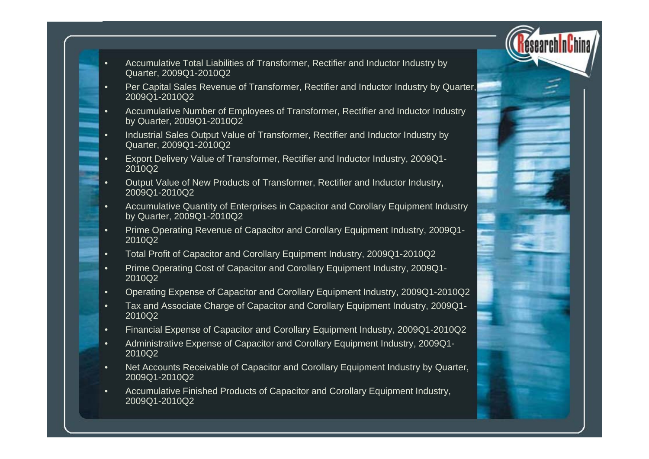

- • Accumulative Total Liabilities of Transformer, Rectifier and Inductor Industry by Quarter, 2009Q1-2010Q2
- • Per Capital Sales Revenue of Transformer, Rectifier and Inductor Industry by Quarter, 2009Q1-2010Q2
- • Accumulative Number of Employees of Transformer, Rectifier and Inductor Industry by Quarter, 2009Q1-2010Q2
- • Industrial Sales Output Value of Transformer, Rectifier and Inductor Industry by Quarter, 2009Q1-2010Q2
- • Export Delivery Value of Transformer, Rectifier and Inductor Industry, 2009Q1- 2010Q2
- • Output Value of New Products of Transformer, Rectifier and Inductor Industry, 2009Q1-2010Q2
- • Accumulative Quantity of Enterprises in Capacitor and Corollary Equipment Industry by Quarter, 2009Q1-2010Q2
- •Prime Operating Revenue of Capacitor and Corollary Equipment Industry, 2009Q1-2010Q2
- •Total Profit of Capacitor and Corollary Equipment Industry, 2009Q1-2010Q2
- • Prime Operating Cost of Capacitor and Corollary Equipment Industry, 2009Q1- 2010Q2
- •Operating Expense of Capacitor and Corollary Equipment Industry, 2009Q1-2010Q2
- • Tax and Associate Charge of Capacitor and Corollary Equipment Industry, 2009Q1- 2010Q2
- •Financial Expense of Capacitor and Corollary Equipment Industry, 2009Q1-2010Q2
- • Administrative Expense of Capacitor and Corollary Equipment Industry, 2009Q1- 2010Q2
- • Net Accounts Receivable of Capacitor and Corollary Equipment Industry by Quarter, 2009Q1-2010Q2
- • Accumulative Finished Products of Capacitor and Corollary Equipment Industry, 2009Q1-2010Q2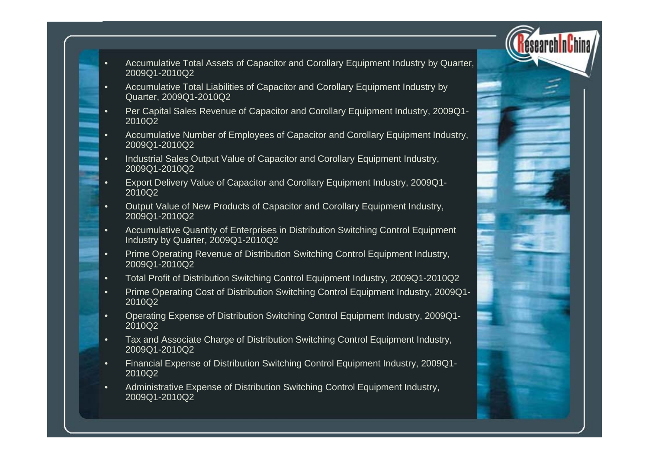- Accumulative Total Assets of Capacitor and Corollary Equipment Industry by Quarter, 2009Q1-2010Q2
- • Accumulative Total Liabilities of Capacitor and Corollary Equipment Industry by Quarter, 2009Q1-2010Q2

•

- • Per Capital Sales Revenue of Capacitor and Corollary Equipment Industry, 2009Q1- 2010Q2
- • Accumulative Number of Employees of Capacitor and Corollary Equipment Industry, 2009Q1-2010Q2
- • Industrial Sales Output Value of Capacitor and Corollary Equipment Industry, 2009Q1-2010Q2
- • Export Delivery Value of Capacitor and Corollary Equipment Industry, 2009Q1- 2010Q2
- • Output Value of New Products of Capacitor and Corollary Equipment Industry, 2009Q1-2010Q2
- •Accumulative Quantity of Enterprises in Distribution Switching Control Equipment Industry by Quarter, 2009Q1-2010Q2
- • Prime Operating Revenue of Distribution Switching Control Equipment Industry, 2009Q1-2010Q2
- •Total Profit of Distribution Switching Control Equipment Industry, 2009Q1-2010Q2
- • Prime Operating Cost of Distribution Switching Control Equipment Industry, 2009Q1- 2010Q2
- • Operating Expense of Distribution Switching Control Equipment Industry, 2009Q1- 2010Q2
- • Tax and Associate Charge of Distribution Switching Control Equipment Industry, 2009Q1-2010Q2
- • Financial Expense of Distribution Switching Control Equipment Industry, 2009Q1- 2010Q2
- •• Administrative Expense of Distribution Switching Control Equipment Industry, 2009Q1-2010Q2

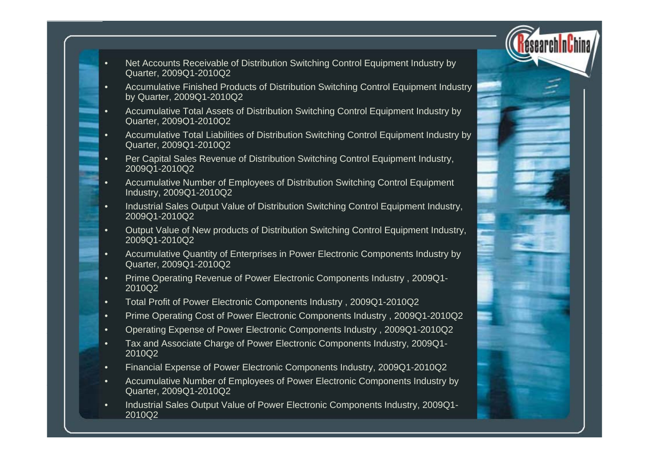

- • Net Accounts Receivable of Distribution Switching Control Equipment Industry by Quarter, 2009Q1-2010Q2
- • Accumulative Finished Products of Distribution Switching Control Equipment Industry by Quarter, 2009Q1-2010Q2
- • Accumulative Total Assets of Distribution Switching Control Equipment Industry by Quarter, 2009Q1-2010Q2
- • Accumulative Total Liabilities of Distribution Switching Control Equipment Industry by Quarter, 2009Q1-2010Q2
- • Per Capital Sales Revenue of Distribution Switching Control Equipment Industry, 2009Q1-2010Q2
- • Accumulative Number of Employees of Distribution Switching Control Equipment Industry, 2009Q1-2010Q2
- • Industrial Sales Output Value of Distribution Switching Control Equipment Industry, 2009Q1-2010Q2
- •Output Value of New products of Distribution Switching Control Equipment Industry, 2009Q1-2010Q2
- • Accumulative Quantity of Enterprises in Power Electronic Components Industry by Quarter, 2009Q1-2010Q2
- •Prime Operating Revenue of Power Electronic Components Industry, 2009Q1-2010Q2
- •Total Profit of Power Electronic Components Industry , 2009Q1-2010Q2
- •Prime Operating Cost of Power Electronic Components Industry , 2009Q1-2010Q2
- •Operating Expense of Power Electronic Components Industry, 2009Q1-2010Q2
- • Tax and Associate Charge of Power Electronic Components Industry, 2009Q1- 2010Q2
- •Financial Expense of Power Electronic Components Industry, 2009Q1-2010Q2
- •• Accumulative Number of Employees of Power Electronic Components Industry by Quarter, 2009Q1-2010Q2
- • Industrial Sales Output Value of Power Electronic Components Industry, 2009Q1- 2010Q2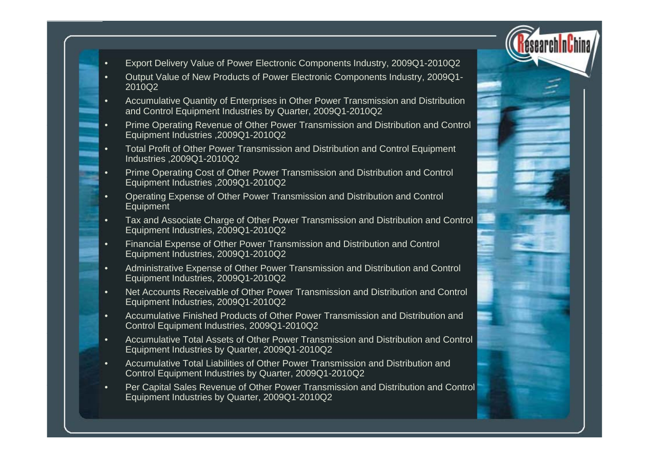- 
- •Export Delivery Value of Power Electronic Components Industry, 2009Q1-2010Q2
- • Output Value of New Products of Power Electronic Components Industry, 2009Q1- 2010Q2
- • Accumulative Quantity of Enterprises in Other Power Transmission and Distribution and Control Equipment Industries by Quarter, 2009Q1-2010Q2
- •Prime Operating Revenue of Other Power Transmission and Distribution and Control Equipment Industries ,2009Q1-2010Q2
- • Total Profit of Other Power Transmission and Distribution and Control Equipment Industries ,2009Q1-2010Q2
- •Prime Operating Cost of Other Power Transmission and Distribution and Control Equipment Industries ,2009Q1-2010Q2
- • Operating Expense of Other Power Transmission and Distribution and Control Equipment
- • Tax and Associate Charge of Other Power Transmission and Distribution and Control Equipment Industries, 2009Q1-2010Q2
- • Financial Expense of Other Power Transmission and Distribution and Control Equipment Industries, 2009Q1-2010Q2
- • Administrative Expense of Other Power Transmission and Distribution and Control Equipment Industries, 2009Q1-2010Q2
- • Net Accounts Receivable of Other Power Transmission and Distribution and Control Equipment Industries, 2009Q1-2010Q2
- • Accumulative Finished Products of Other Power Transmission and Distribution and Control Equipment Industries, 2009Q1-2010Q2
- • Accumulative Total Assets of Other Power Transmission and Distribution and Control Equipment Industries by Quarter, 2009Q1-2010Q2
- • Accumulative Total Liabilities of Other Power Transmission and Distribution and Control Equipment Industries by Quarter, 2009Q1-2010Q2
- •Per Capital Sales Revenue of Other Power Transmission and Distribution and Control Equipment Industries by Quarter, 2009Q1-2010Q2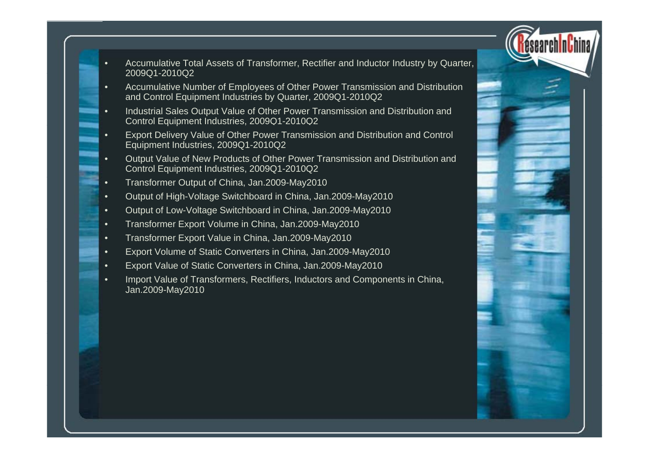

- • Accumulative Total Assets of Transformer, Rectifier and Inductor Industry by Quarter, 2009Q1-2010Q2
- • Accumulative Number of Employees of Other Power Transmission and Distribution and Control Equipment Industries by Quarter, 2009Q1-2010Q2
- • Industrial Sales Output Value of Other Power Transmission and Distribution and Control Equipment Industries, 2009Q1-2010Q2
- • Export Delivery Value of Other Power Transmission and Distribution and Control Equipment Industries, 2009Q1-2010Q2
- • Output Value of New Products of Other Power Transmission and Distribution and Control Equipment Industries, 2009Q1-2010Q2
- •Transformer Output of China, Jan.2009-May2010
- •Output of High-Voltage Switchboard in China, Jan.2009-May2010
- •Output of Low-Voltage Switchboard in China, Jan.2009-May2010
- •Transformer Export Volume in China, Jan.2009-Ma y2010
- •Transformer Export Value in China, Jan.2009-May2010
- •Export Volume of Static Converters in China, Jan.2009-May2010
- •Export Value of Static Converters in China, Jan.2009-May2010
- •Import Value of Transformers, Rectifiers, Inductors and Components in China, Jan.2009-May2010